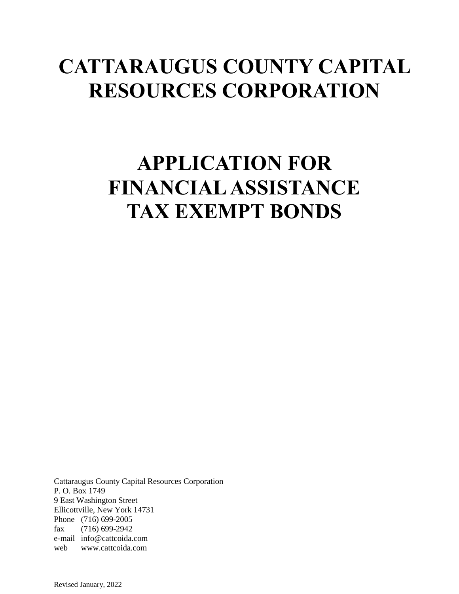# **CATTARAUGUS COUNTY CAPITAL RESOURCES CORPORATION**

# **APPLICATION FOR FINANCIAL ASSISTANCE TAX EXEMPT BONDS**

Cattaraugus County Capital Resources Corporation P. O. Box 1749 9 East Washington Street Ellicottville, New York 14731 Phone (716) 699-2005 fax (716) 699-2942 e-mail info@cattcoida.com web www.cattcoida.com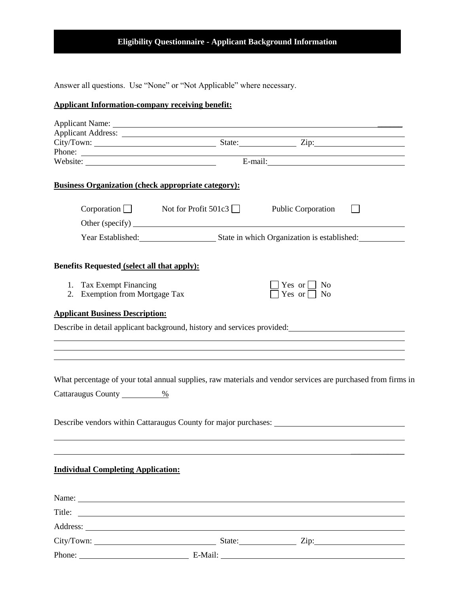## **Eligibility Questionnaire - Applicant Background Information**

Answer all questions. Use "None" or "Not Applicable" where necessary.

## **Applicant Information-company receiving benefit:**

| Phone:                                                                                                                          |                                                                                                           | <u> Alexandria de la contrada de la contrada de la contrada de la contrada de la contrada de la contrada de la c</u> |  |
|---------------------------------------------------------------------------------------------------------------------------------|-----------------------------------------------------------------------------------------------------------|----------------------------------------------------------------------------------------------------------------------|--|
| <b>Business Organization (check appropriate category):</b>                                                                      |                                                                                                           |                                                                                                                      |  |
| $Corporation$ Not for Profit 501c3                                                                                              |                                                                                                           | Public Corporation                                                                                                   |  |
|                                                                                                                                 |                                                                                                           |                                                                                                                      |  |
|                                                                                                                                 | Year Established: State in which Organization is established: State in which Organization is established: |                                                                                                                      |  |
| Benefits Requested (select all that apply):                                                                                     |                                                                                                           |                                                                                                                      |  |
| 1. Tax Exempt Financing<br>2. Exemption from Mortgage Tax                                                                       |                                                                                                           | Yes or $\vert$   No<br>Yes or $\Box$ No                                                                              |  |
| <b>Applicant Business Description:</b>                                                                                          |                                                                                                           |                                                                                                                      |  |
| Describe in detail applicant background, history and services provided:                                                         |                                                                                                           |                                                                                                                      |  |
|                                                                                                                                 | ,我们也不会有一个人的人,我们也不会有一个人的人,我们也不会有一个人的人。""我们,我们也不会有一个人的人,我们也不会有一个人的人。""我们,我们也不会有一个人                          |                                                                                                                      |  |
|                                                                                                                                 |                                                                                                           |                                                                                                                      |  |
|                                                                                                                                 |                                                                                                           |                                                                                                                      |  |
| What percentage of your total annual supplies, raw materials and vendor services are purchased from firms in                    |                                                                                                           |                                                                                                                      |  |
| Cattaraugus County<br>%                                                                                                         |                                                                                                           |                                                                                                                      |  |
|                                                                                                                                 |                                                                                                           |                                                                                                                      |  |
|                                                                                                                                 |                                                                                                           |                                                                                                                      |  |
|                                                                                                                                 |                                                                                                           |                                                                                                                      |  |
|                                                                                                                                 |                                                                                                           |                                                                                                                      |  |
| <b>Individual Completing Application:</b>                                                                                       |                                                                                                           |                                                                                                                      |  |
| Name: Name:                                                                                                                     |                                                                                                           |                                                                                                                      |  |
| Title:<br><u> 1989 - Johann Stoff, deutscher Stoff, der Stoff, der Stoff, der Stoff, der Stoff, der Stoff, der Stoff, der S</u> |                                                                                                           |                                                                                                                      |  |
|                                                                                                                                 |                                                                                                           |                                                                                                                      |  |
|                                                                                                                                 |                                                                                                           |                                                                                                                      |  |
|                                                                                                                                 |                                                                                                           |                                                                                                                      |  |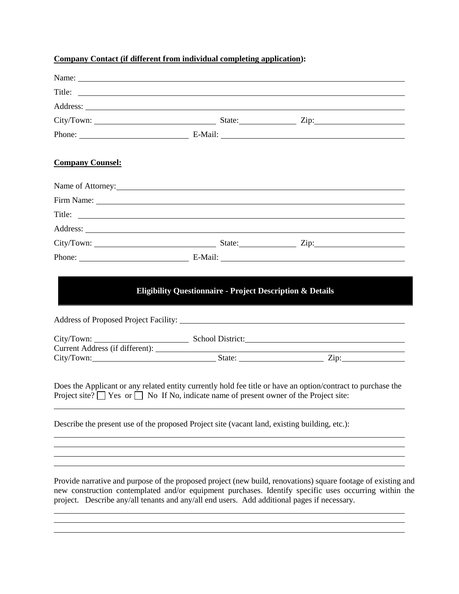| Company Contact (if different from individual completing application): |  |  |
|------------------------------------------------------------------------|--|--|
|------------------------------------------------------------------------|--|--|

|                                                                                                                                                                                                   |  | Title:                                                                                                                                                                                                                 |
|---------------------------------------------------------------------------------------------------------------------------------------------------------------------------------------------------|--|------------------------------------------------------------------------------------------------------------------------------------------------------------------------------------------------------------------------|
|                                                                                                                                                                                                   |  |                                                                                                                                                                                                                        |
|                                                                                                                                                                                                   |  |                                                                                                                                                                                                                        |
|                                                                                                                                                                                                   |  |                                                                                                                                                                                                                        |
| <b>Company Counsel:</b>                                                                                                                                                                           |  |                                                                                                                                                                                                                        |
|                                                                                                                                                                                                   |  |                                                                                                                                                                                                                        |
|                                                                                                                                                                                                   |  |                                                                                                                                                                                                                        |
|                                                                                                                                                                                                   |  | Title:                                                                                                                                                                                                                 |
|                                                                                                                                                                                                   |  |                                                                                                                                                                                                                        |
|                                                                                                                                                                                                   |  |                                                                                                                                                                                                                        |
|                                                                                                                                                                                                   |  |                                                                                                                                                                                                                        |
|                                                                                                                                                                                                   |  | City/Town: School District:                                                                                                                                                                                            |
|                                                                                                                                                                                                   |  |                                                                                                                                                                                                                        |
| Project site? $\Box$ Yes or $\Box$ No If No, indicate name of present owner of the Project site:<br>Describe the present use of the proposed Project site (vacant land, existing building, etc.): |  | Does the Applicant or any related entity currently hold fee title or have an option/contract to purchase the                                                                                                           |
|                                                                                                                                                                                                   |  |                                                                                                                                                                                                                        |
|                                                                                                                                                                                                   |  |                                                                                                                                                                                                                        |
|                                                                                                                                                                                                   |  | Provide narrative and purpose of the proposed project (new build, renovations) square footage of existing and<br>new construction contemplated and/or equipment purchases. Identify specific uses occurring within the |

new construction contemplated and/or equipment purchases. Identify specific uses occurring within the project. Describe any/all tenants and any/all end users. Add additional pages if necessary.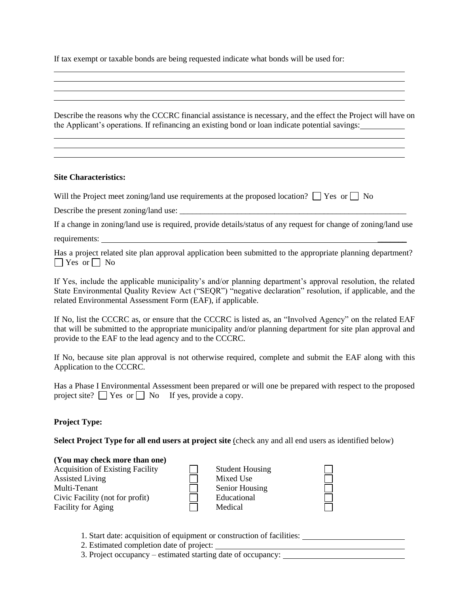If tax exempt or taxable bonds are being requested indicate what bonds will be used for:

Describe the reasons why the CCCRC financial assistance is necessary, and the effect the Project will have on the Applicant's operations. If refinancing an existing bond or loan indicate potential savings:

#### **Site Characteristics:**

Will the Project meet zoning/land use requirements at the proposed location?  $\Box$  Yes or  $\Box$  No

Describe the present zoning/land use: \_\_\_\_\_\_\_\_\_\_\_\_\_\_\_\_\_\_\_\_\_\_\_\_\_\_\_\_\_\_\_\_\_\_\_\_\_\_\_\_\_\_\_\_\_\_\_\_\_\_\_\_\_\_\_

If a change in zoning/land use is required, provide details/status of any request for change of zoning/land use requirements: \_\_\_\_\_\_\_

Has a project related site plan approval application been submitted to the appropriate planning department?  $\Box$  Yes or  $\Box$  No

If Yes, include the applicable municipality's and/or planning department's approval resolution, the related State Environmental Quality Review Act ("SEQR") "negative declaration" resolution, if applicable, and the related Environmental Assessment Form (EAF), if applicable.

If No, list the CCCRC as, or ensure that the CCCRC is listed as, an "Involved Agency" on the related EAF that will be submitted to the appropriate municipality and/or planning department for site plan approval and provide to the EAF to the lead agency and to the CCCRC.

If No, because site plan approval is not otherwise required, complete and submit the EAF along with this Application to the CCCRC.

Has a Phase I Environmental Assessment been prepared or will one be prepared with respect to the proposed project site?  $\Box$  Yes or  $\Box$  No If yes, provide a copy.

#### **Project Type:**

**Select Project Type for all end users at project site** (check any and all end users as identified below)

#### **(You may check more than one)**

Acquisition of Existing Facility Assisted Living Multi-Tenant Civic Facility (not for profit) Facility for Aging

| Student Housin |
|----------------|
| Mixed Use      |
| Senior Housing |
| Educational    |
| Medical        |

- 1. Start date: acquisition of equipment or construction of facilities:
- 2. Estimated completion date of project:
- 3. Project occupancy estimated starting date of occupancy: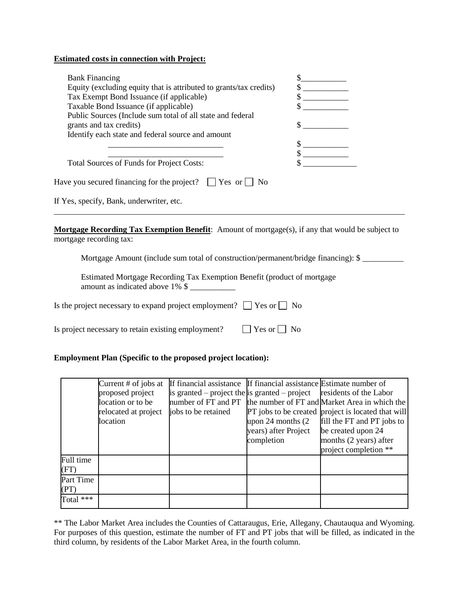#### **Estimated costs in connection with Project:**

| <b>Bank Financing</b>                                              |  |
|--------------------------------------------------------------------|--|
| Equity (excluding equity that is attributed to grants/tax credits) |  |
| Tax Exempt Bond Issuance (if applicable)                           |  |
| Taxable Bond Issuance (if applicable)                              |  |
| Public Sources (Include sum total of all state and federal         |  |
| grants and tax credits)                                            |  |
| Identify each state and federal source and amount                  |  |
|                                                                    |  |
|                                                                    |  |
| <b>Total Sources of Funds for Project Costs:</b>                   |  |
| Have you secured financing for the project?<br>Yes or<br>No        |  |
|                                                                    |  |

If Yes, specify, Bank, underwriter, etc.

**Mortgage Recording Tax Exemption Benefit**: Amount of mortgage(s), if any that would be subject to mortgage recording tax:

Mortgage Amount (include sum total of construction/permanent/bridge financing): \$

Estimated Mortgage Recording Tax Exemption Benefit (product of mortgage amount as indicated above  $1\%$  \$

Is the project necessary to expand project employment?  $\Box$  Yes or  $\Box$  No

Is project necessary to retain existing employment?  $\Box$  Yes or  $\Box$  No

#### **Employment Plan (Specific to the proposed project location):**

|             | Current $#$ of jobs at | If financial assistance If financial assistance Estimate number of |                        |                                                                   |
|-------------|------------------------|--------------------------------------------------------------------|------------------------|-------------------------------------------------------------------|
|             | proposed project       | is granted – project the is granted – project                      |                        | residents of the Labor                                            |
|             | location or to be      |                                                                    |                        | number of FT and PT the number of FT and Market Area in which the |
|             | relocated at project   | jobs to be retained                                                |                        | <b>PT</b> jobs to be created project is located that will         |
|             | location               |                                                                    | upon $24$ months $(2)$ | fill the FT and PT jobs to                                        |
|             |                        |                                                                    | years) after Project   | be created upon 24                                                |
|             |                        |                                                                    | completion             | months (2 years) after                                            |
|             |                        |                                                                    |                        | project completion **                                             |
| Full time   |                        |                                                                    |                        |                                                                   |
| (FT)        |                        |                                                                    |                        |                                                                   |
| Part Time   |                        |                                                                    |                        |                                                                   |
| (PT)        |                        |                                                                    |                        |                                                                   |
| Total $***$ |                        |                                                                    |                        |                                                                   |

\*\* The Labor Market Area includes the Counties of Cattaraugus, Erie, Allegany, Chautauqua and Wyoming. For purposes of this question, estimate the number of FT and PT jobs that will be filled, as indicated in the third column, by residents of the Labor Market Area, in the fourth column.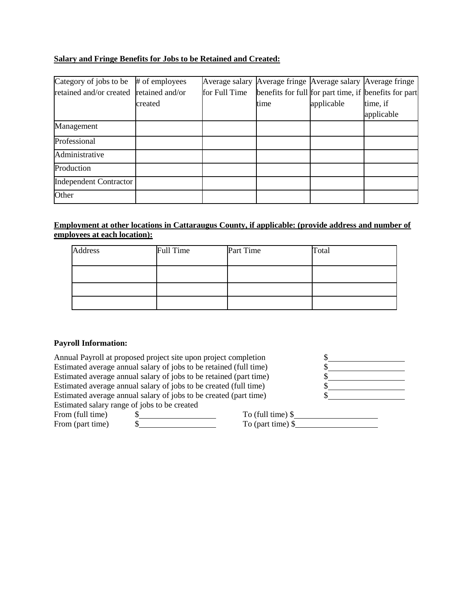## **Salary and Fringe Benefits for Jobs to be Retained and Created:**

| Category of jobs to be                  | # of employees |               | Average salary Average fringe Average salary Average fringe |            |                                                       |
|-----------------------------------------|----------------|---------------|-------------------------------------------------------------|------------|-------------------------------------------------------|
| retained and/or created retained and/or |                | for Full Time |                                                             |            | benefits for full for part time, if benefits for part |
|                                         | created        |               | time                                                        | applicable | time, if                                              |
|                                         |                |               |                                                             |            | applicable                                            |
| Management                              |                |               |                                                             |            |                                                       |
| Professional                            |                |               |                                                             |            |                                                       |
| Administrative                          |                |               |                                                             |            |                                                       |
| Production                              |                |               |                                                             |            |                                                       |
| <b>Independent Contractor</b>           |                |               |                                                             |            |                                                       |
| Other                                   |                |               |                                                             |            |                                                       |

### **Employment at other locations in Cattaraugus County, if applicable: (provide address and number of employees at each location):**

| <b>Address</b> | Full Time | Part Time | Total |
|----------------|-----------|-----------|-------|
|                |           |           |       |
|                |           |           |       |
|                |           |           |       |

#### **Payroll Information:**

| Annual Payroll at proposed project site upon project completion    |                          |  |
|--------------------------------------------------------------------|--------------------------|--|
| Estimated average annual salary of jobs to be retained (full time) |                          |  |
| Estimated average annual salary of jobs to be retained (part time) |                          |  |
| Estimated average annual salary of jobs to be created (full time)  |                          |  |
| Estimated average annual salary of jobs to be created (part time)  |                          |  |
| Estimated salary range of jobs to be created                       |                          |  |
| $E_{\text{nom}}$ (full time)                                       | $T_0$ (full time) $\phi$ |  |

From (part time)

From (full time)  $\frac{\$}{\$}$  To (full time)  $\$$  To (rat time)  $\$$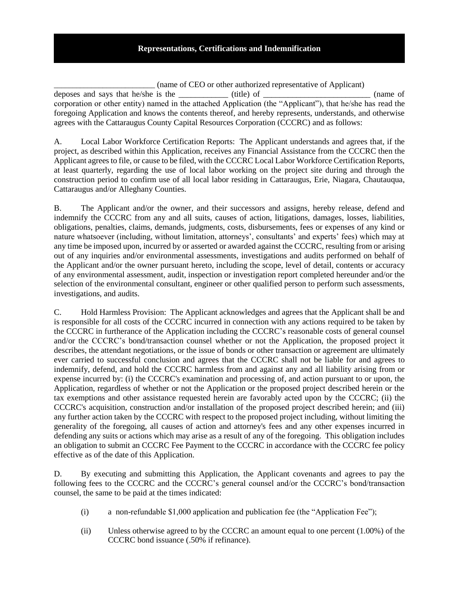#### **Representations, Certifications and Indemnification**

\_\_\_\_\_\_\_\_\_\_\_\_\_\_\_\_\_\_\_\_\_\_\_\_\_\_\_ (name of CEO or other authorized representative of Applicant) deposes and says that he/she is the the unit (title) of the contract of the contract of the contract of the contract of the contract of the contract of the contract of the contract of the contract of the contract of the co corporation or other entity) named in the attached Application (the "Applicant"), that he/she has read the foregoing Application and knows the contents thereof, and hereby represents, understands, and otherwise agrees with the Cattaraugus County Capital Resources Corporation (CCCRC) and as follows:

A. Local Labor Workforce Certification Reports: The Applicant understands and agrees that, if the project, as described within this Application, receives any Financial Assistance from the CCCRC then the Applicant agrees to file, or cause to be filed, with the CCCRC Local Labor Workforce Certification Reports, at least quarterly, regarding the use of local labor working on the project site during and through the construction period to confirm use of all local labor residing in Cattaraugus, Erie, Niagara, Chautauqua, Cattaraugus and/or Alleghany Counties.

B. The Applicant and/or the owner, and their successors and assigns, hereby release, defend and indemnify the CCCRC from any and all suits, causes of action, litigations, damages, losses, liabilities, obligations, penalties, claims, demands, judgments, costs, disbursements, fees or expenses of any kind or nature whatsoever (including, without limitation, attorneys', consultants' and experts' fees) which may at any time be imposed upon, incurred by or asserted or awarded against the CCCRC, resulting from or arising out of any inquiries and/or environmental assessments, investigations and audits performed on behalf of the Applicant and/or the owner pursuant hereto, including the scope, level of detail, contents or accuracy of any environmental assessment, audit, inspection or investigation report completed hereunder and/or the selection of the environmental consultant, engineer or other qualified person to perform such assessments, investigations, and audits.

C. Hold Harmless Provision: The Applicant acknowledges and agrees that the Applicant shall be and is responsible for all costs of the CCCRC incurred in connection with any actions required to be taken by the CCCRC in furtherance of the Application including the CCCRC's reasonable costs of general counsel and/or the CCCRC's bond/transaction counsel whether or not the Application, the proposed project it describes, the attendant negotiations, or the issue of bonds or other transaction or agreement are ultimately ever carried to successful conclusion and agrees that the CCCRC shall not be liable for and agrees to indemnify, defend, and hold the CCCRC harmless from and against any and all liability arising from or expense incurred by: (i) the CCCRC's examination and processing of, and action pursuant to or upon, the Application, regardless of whether or not the Application or the proposed project described herein or the tax exemptions and other assistance requested herein are favorably acted upon by the CCCRC; (ii) the CCCRC's acquisition, construction and/or installation of the proposed project described herein; and (iii) any further action taken by the CCCRC with respect to the proposed project including, without limiting the generality of the foregoing, all causes of action and attorney's fees and any other expenses incurred in defending any suits or actions which may arise as a result of any of the foregoing. This obligation includes an obligation to submit an CCCRC Fee Payment to the CCCRC in accordance with the CCCRC fee policy effective as of the date of this Application.

D. By executing and submitting this Application, the Applicant covenants and agrees to pay the following fees to the CCCRC and the CCCRC's general counsel and/or the CCCRC's bond/transaction counsel, the same to be paid at the times indicated:

- (i) a non-refundable \$1,000 application and publication fee (the "Application Fee");
- (ii) Unless otherwise agreed to by the CCCRC an amount equal to one percent (1.00%) of the CCCRC bond issuance (.50% if refinance).